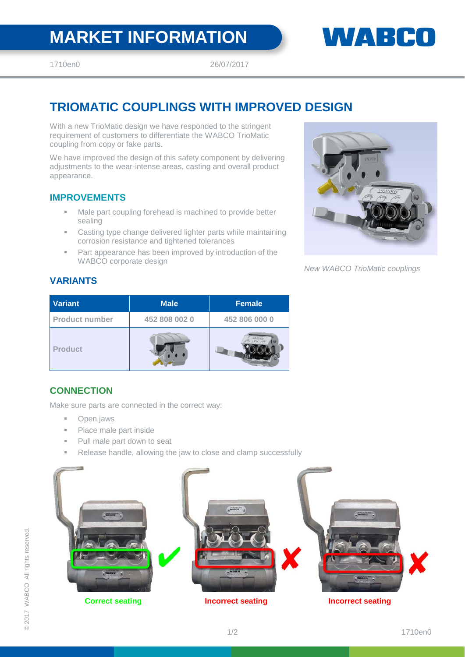# **MARKET INFORMATION WARKET INFORMATION**

1710en0 26/07/2017

## **TRIOMATIC COUPLINGS WITH IMPROVED DESIGN**

With a new TrioMatic design we have responded to the stringent requirement of customers to differentiate the WABCO TrioMatic coupling from copy or fake parts.

We have improved the design of this safety component by delivering adjustments to the wear-intense areas, casting and overall product appearance.

#### **IMPROVEMENTS**

- Male part coupling forehead is machined to provide better sealing
- Casting type change delivered lighter parts while maintaining corrosion resistance and tightened tolerances
- Part appearance has been improved by introduction of the WABCO corporate design



*New WABCO TrioMatic couplings*

### **VARIANTS**

| <b>Variant</b>        | <b>Male</b>   | <b>Female</b> |
|-----------------------|---------------|---------------|
| <b>Product number</b> | 452 808 002 0 | 452 806 000 0 |
| <b>Product</b>        |               | 2021/09/0     |

### **CONNECTION**

Make sure parts are connected in the correct way:

- **D**pen jaws
- Place male part inside
- **Pull male part down to seat**
- Release handle, allowing the jaw to close and clamp successfully